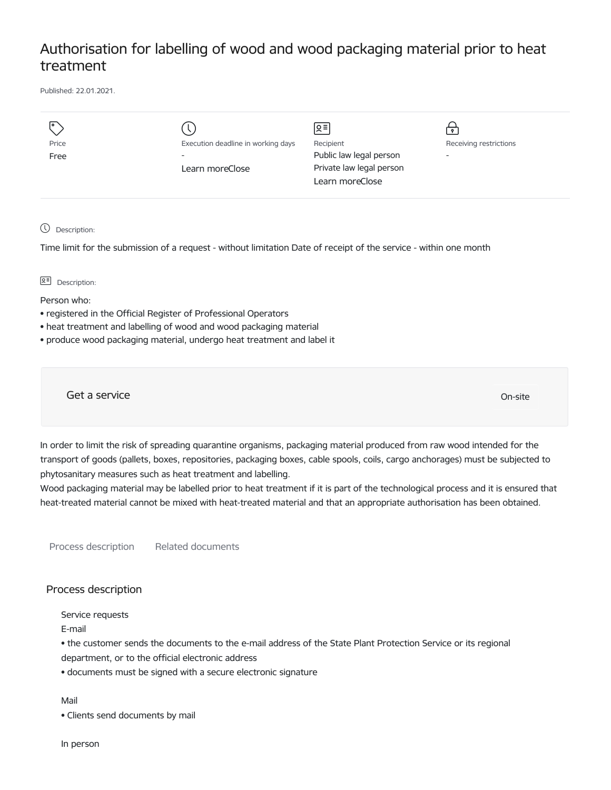## Authorisation for labelling of wood and wood packaging material prior to heat treatment

Published: 22.01.2021.

|               |                                                                | 이 리                                         | $\bullet$                                          |
|---------------|----------------------------------------------------------------|---------------------------------------------|----------------------------------------------------|
| Price<br>Free | Execution deadline in working days<br>$\overline{\phantom{a}}$ | Recipient<br>Public law legal person        | Receiving restrictions<br>$\overline{\phantom{a}}$ |
|               | Learn moreClose                                                | Private law legal person<br>Learn moreClose |                                                    |

Description:

Time limit for the submission of a request - without limitation Date of receipt of the service - within one month

**B<sup>=</sup>** Description:

Person who:

- registered in the Official Register of Professional Operators
- heat treatment and labelling of wood and wood packaging material
- produce wood packaging material, undergo heat treatment and label it

Get a service On-site

In order to limit the risk of spreading quarantine organisms, packaging material produced from raw wood intended for the transport of goods (pallets, boxes, repositories, packaging boxes, cable spools, coils, cargo anchorages) must be subjected to phytosanitary measures such as heat treatment and labelling.

Wood packaging material may be labelled prior to heat treatment if it is part of the technological process and it is ensured that heat-treated material cannot be mixed with heat-treated material and that an appropriate authorisation has been obtained.

Process description Related documents

## Process description

Service requests

E-mail

• the customer sends the documents to the e-mail address of the State Plant Protection Service or its regional

department, or to the official electronic address

• documents must be signed with a secure electronic signature

Mail

• Clients send documents by mail

In person